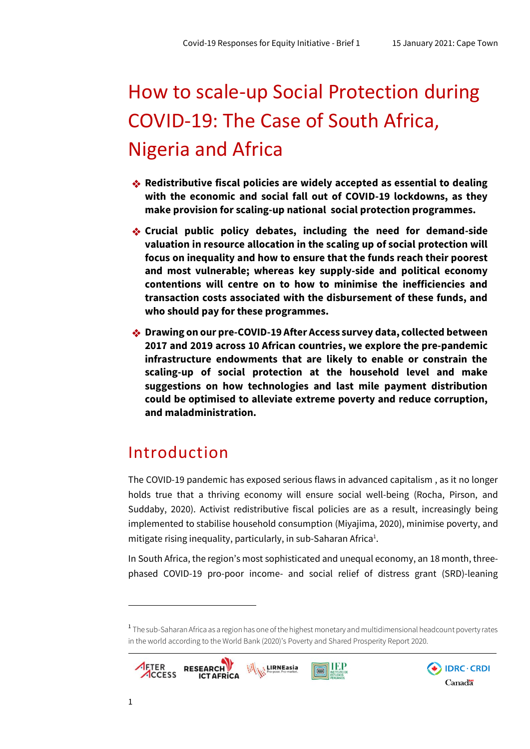DRC · CRDI

Canadä

# How to scale-up Social Protection during COVID-19: The Case of South Africa, Nigeria and Africa

- ❖ **Redistributive fiscal policies are widely accepted as essential to dealing with the economic and social fall out of COVID-19 lockdowns, as they make provision for scaling-up national social protection programmes.**
- ❖ **Crucial public policy debates, including the need for demand-side valuation in resource allocation in the scaling up of social protection will focus on inequality and how to ensure that the funds reach their poorest and most vulnerable; whereas key supply-side and political economy contentions will centre on to how to minimise the inefficiencies and transaction costs associated with the disbursement of these funds, and who should pay forthese programmes.**
- ❖ **Drawing on our pre-COVID-19 After Access survey data, collected between 2017 and 2019 across 10 African countries, we explore the pre-pandemic infrastructure endowments that are likely to enable or constrain the scaling-up of social protection at the household level and make suggestions on how technologies and last mile payment distribution could be optimised to alleviate extreme poverty and reduce corruption, and maladministration.**

# Introduction

The COVID-19 pandemic has exposed serious flaws in advanced capitalism , as it no longer holds true that a thriving economy will ensure social well-being (Rocha, Pirson, and Suddaby, 2020). Activist redistributive fiscal policies are as a result, increasingly being implemented to stabilise household consumption (Miyajima, 2020), minimise poverty, and mitigate rising inequality, particularly, in sub-Saharan Africa<sup>1</sup>.

In South Africa, the region's most sophisticated and unequal economy, an 18 month, threephased COVID-19 pro-poor income- and social relief of distress grant (SRD)-leaning

<sup>&</sup>lt;sup>1</sup> The sub-Saharan Africa as a region has one of the highest monetary and multidimensional headcount poverty rates in the world according to the World Bank (2020)'s Poverty and Shared Prosperity Report 2020.



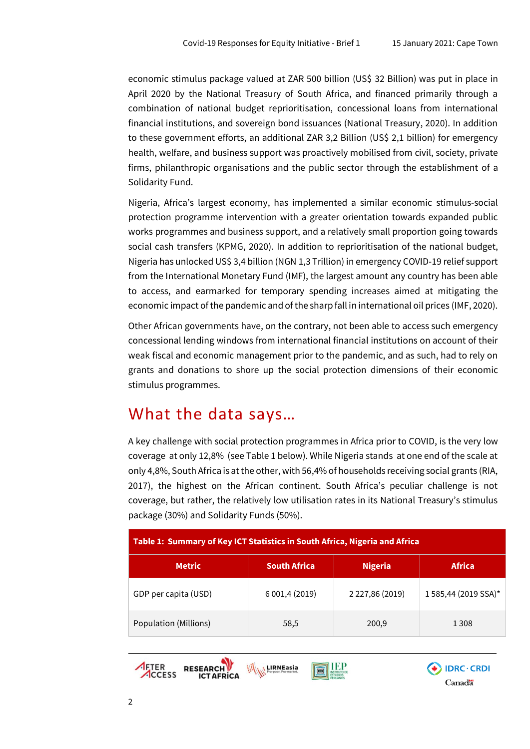economic stimulus package valued at ZAR 500 billion (US\$ 32 Billion) was put in place in April 2020 by the National Treasury of South Africa, and financed primarily through a combination of national budget reprioritisation, concessional loans from international financial institutions, and sovereign bond issuances (National Treasury, 2020). In addition to these government efforts, an additional ZAR 3,2 Billion (US\$ 2,1 billion) for emergency health, welfare, and business support was proactively mobilised from civil, society, private firms, philanthropic organisations and the public sector through the establishment of a Solidarity Fund.

Nigeria, Africa's largest economy, has implemented a similar economic stimulus-social protection programme intervention with a greater orientation towards expanded public works programmes and business support, and a relatively small proportion going towards social cash transfers (KPMG, 2020). In addition to reprioritisation of the national budget, Nigeria has unlocked US\$ 3,4 billion (NGN 1,3 Trillion) in emergency COVID-19 relief support from the International Monetary Fund (IMF), the largest amount any country has been able to access, and earmarked for temporary spending increases aimed at mitigating the economic impact of the pandemic and of the sharp fall in international oil prices (IMF, 2020).

Other African governments have, on the contrary, not been able to access such emergency concessional lending windows from international financial institutions on account of their weak fiscal and economic management prior to the pandemic, and as such, had to rely on grants and donations to shore up the social protection dimensions of their economic stimulus programmes.

## What the data says…

A key challenge with social protection programmes in Africa prior to COVID, is the very low coverage at only 12,8% (see Table 1 below). While Nigeria stands at one end of the scale at only 4,8%, South Africa is atthe other, with 56,4% of households receiving social grants (RIA, 2017), the highest on the African continent. South Africa's peculiar challenge is not coverage, but rather, the relatively low utilisation rates in its National Treasury's stimulus package (30%) and Solidarity Funds (50%).

| Table 1: Summary of Key ICT Statistics in South Africa, Nigeria and Africa |                     |                 |                     |  |
|----------------------------------------------------------------------------|---------------------|-----------------|---------------------|--|
| <b>Metric</b>                                                              | <b>South Africa</b> | <b>Nigeria</b>  | <b>Africa</b>       |  |
| GDP per capita (USD)                                                       | 6 001,4 (2019)      | 2 227,86 (2019) | 1585,44 (2019 SSA)* |  |
| Population (Millions)                                                      | 58,5                | 200,9           | 1 3 0 8             |  |



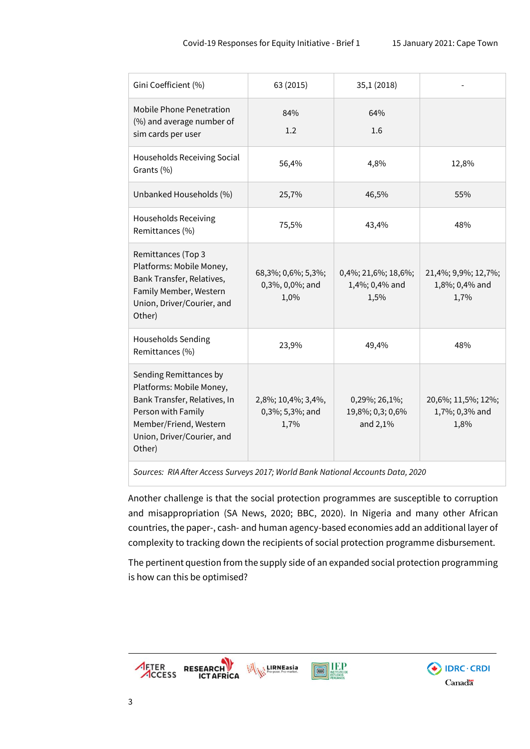$\bigoplus$  IDRC · CRDI

Canadä

| Gini Coefficient (%)                                                                                                                                                       | 63 (2015)                                     | 35,1 (2018)                                   |                                               |
|----------------------------------------------------------------------------------------------------------------------------------------------------------------------------|-----------------------------------------------|-----------------------------------------------|-----------------------------------------------|
| <b>Mobile Phone Penetration</b><br>(%) and average number of<br>sim cards per user                                                                                         | 84%<br>1.2                                    | 64%<br>1.6                                    |                                               |
| Households Receiving Social<br>Grants (%)                                                                                                                                  | 56,4%                                         | 4,8%                                          | 12,8%                                         |
| Unbanked Households (%)                                                                                                                                                    | 25,7%                                         | 46,5%                                         | 55%                                           |
| <b>Households Receiving</b><br>Remittances (%)                                                                                                                             | 75,5%                                         | 43,4%                                         | 48%                                           |
| Remittances (Top 3<br>Platforms: Mobile Money,<br>Bank Transfer, Relatives,<br>Family Member, Western<br>Union, Driver/Courier, and<br>Other)                              | 68,3%; 0,6%; 5,3%;<br>0,3%, 0,0%; and<br>1,0% | 0,4%; 21,6%; 18,6%;<br>1,4%; 0,4% and<br>1,5% | 21,4%; 9,9%; 12,7%;<br>1,8%; 0,4% and<br>1,7% |
| Households Sending<br>Remittances (%)                                                                                                                                      | 23,9%                                         | 49,4%                                         | 48%                                           |
| Sending Remittances by<br>Platforms: Mobile Money,<br>Bank Transfer, Relatives, In<br>Person with Family<br>Member/Friend, Western<br>Union, Driver/Courier, and<br>Other) | 2,8%; 10,4%; 3,4%,<br>0,3%; 5,3%; and<br>1,7% | 0,29%; 26,1%;<br>19,8%; 0,3; 0,6%<br>and 2,1% | 20,6%; 11,5%; 12%;<br>1,7%; 0,3% and<br>1,8%  |

*Sources: RIA After Access Surveys 2017; World Bank National Accounts Data, 2020*

Another challenge is that the social protection programmes are susceptible to corruption and misappropriation (SA News, 2020; BBC, 2020). In Nigeria and many other African countries, the paper-, cash- and human agency-based economies add an additional layer of complexity to tracking down the recipients of social protection programme disbursement.

The pertinent question from the supply side of an expanded social protection programming is how can this be optimised?

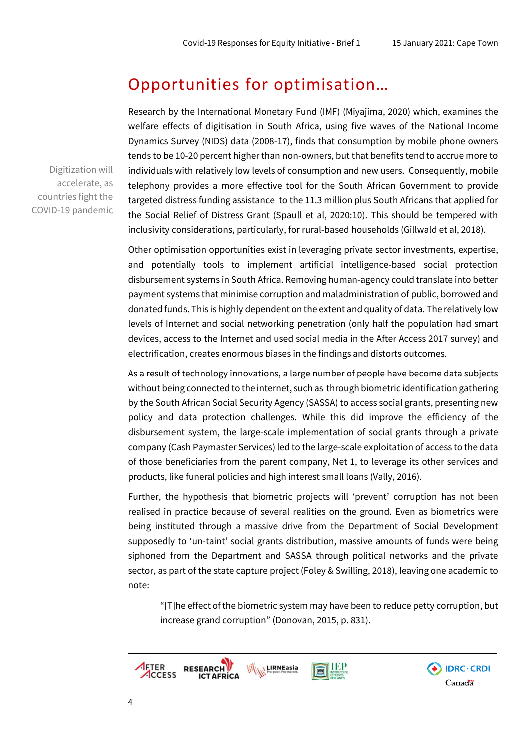### Opportunities for optimisation…

Research by the International Monetary Fund (IMF) (Miyajima, 2020) which, examines the welfare effects of digitisation in South Africa, using five waves of the National Income Dynamics Survey (NIDS) data (2008-17), finds that consumption by mobile phone owners tends to be 10-20 percent higher than non-owners, but that benefits tend to accrue more to individuals with relatively low levels of consumption and new users. Consequently, mobile telephony provides a more effective tool for the South African Government to provide targeted distress funding assistance to the 11.3 million plus South Africans that applied for the Social Relief of Distress Grant (Spaull et al, 2020:10). This should be tempered with inclusivity considerations, particularly, for rural-based households (Gillwald et al, 2018).

Other optimisation opportunities exist in leveraging private sector investments, expertise, and potentially tools to implement artificial intelligence-based social protection disbursement systems in South Africa. Removing human-agency could translate into better payment systems that minimise corruption and maladministration of public, borrowed and donated funds. This is highly dependent on the extent and quality of data. The relatively low levels of Internet and social networking penetration (only half the population had smart devices, access to the Internet and used social media in the After Access 2017 survey) and electrification, creates enormous biases in the findings and distorts outcomes.

As a result of technology innovations, a large number of people have become data subjects without being connected to the internet, such as through biometric identification gathering by the South African Social Security Agency (SASSA) to access social grants, presenting new policy and data protection challenges. While this did improve the efficiency of the disbursement system, the large-scale implementation of social grants through a private company (Cash Paymaster Services) led to the large-scale exploitation of access to the data of those beneficiaries from the parent company, Net 1, to leverage its other services and products, like funeral policies and high interest small loans (Vally, 2016).

Further, the hypothesis that biometric projects will 'prevent' corruption has not been realised in practice because of several realities on the ground. Even as biometrics were being instituted through a massive drive from the Department of Social Development supposedly to 'un-taint' social grants distribution, massive amounts of funds were being siphoned from the Department and SASSA through political networks and the private sector, as part of the state capture project (Foley & Swilling, 2018), leaving one academic to note:

"[T]he effect ofthe biometric system may have been to reduce petty corruption, but increase grand corruption" (Donovan, 2015, p. 831).



Digitization will accelerate, as countries fight the COVID-19 pandemic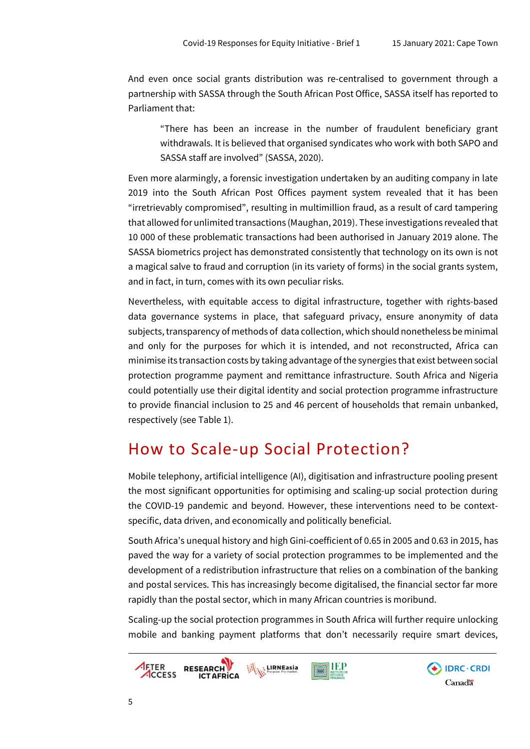And even once social grants distribution was re-centralised to government through a partnership with SASSA through the South African Post Office, SASSA itself has reported to Parliament that:

"There has been an increase in the number of fraudulent beneficiary grant withdrawals. It is believed that organised syndicates who work with both SAPO and SASSA staff are involved" (SASSA, 2020).

Even more alarmingly, a forensic investigation undertaken by an auditing company in late 2019 into the South African Post Offices payment system revealed that it has been "irretrievably compromised", resulting in multimillion fraud, as a result of card tampering that allowed for unlimited transactions (Maughan, 2019). These investigations revealed that 10 000 of these problematic transactions had been authorised in January 2019 alone. The SASSA biometrics project has demonstrated consistently that technology on its own is not a magical salve to fraud and corruption (in its variety of forms) in the social grants system, and in fact, in turn, comes with its own peculiar risks.

Nevertheless, with equitable access to digital infrastructure, together with rights-based data governance systems in place, that safeguard privacy, ensure anonymity of data subjects, transparency of methods of data collection, which should nonetheless be minimal and only for the purposes for which it is intended, and not reconstructed, Africa can minimise its transaction costs by taking advantage ofthe synergies that exist between social protection programme payment and remittance infrastructure. South Africa and Nigeria could potentially use their digital identity and social protection programme infrastructure to provide financial inclusion to 25 and 46 percent of households that remain unbanked, respectively (see Table 1).

# How to Scale-up Social Protection?

Mobile telephony, artificial intelligence (AI), digitisation and infrastructure pooling present the most significant opportunities for optimising and scaling-up social protection during the COVID-19 pandemic and beyond. However, these interventions need to be contextspecific, data driven, and economically and politically beneficial.

South Africa's unequal history and high Gini-coefficient of 0.65 in 2005 and 0.63 in 2015, has paved the way for a variety of social protection programmes to be implemented and the development of a redistribution infrastructure that relies on a combination of the banking and postal services. This has increasingly become digitalised, the financial sector far more rapidly than the postal sector, which in many African countries is moribund.

Scaling-up the social protection programmes in South Africa will further require unlocking mobile and banking payment platforms that don't necessarily require smart devices,

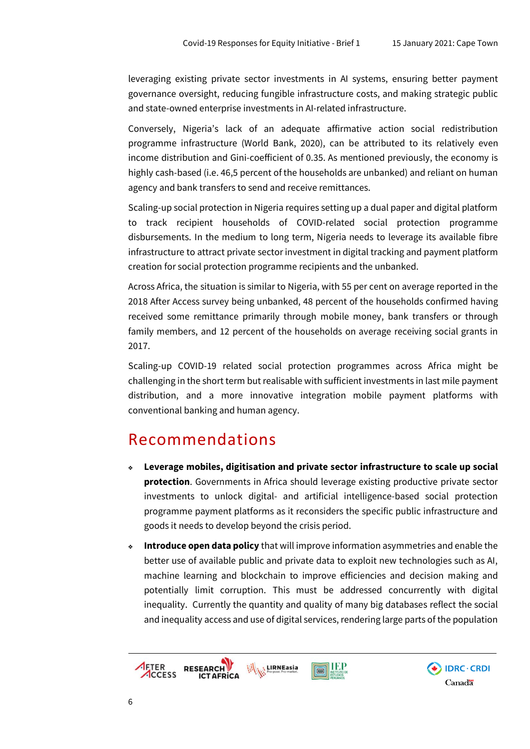DRC · CRDI

Canadä

leveraging existing private sector investments in AI systems, ensuring better payment governance oversight, reducing fungible infrastructure costs, and making strategic public and state-owned enterprise investments in AI-related infrastructure.

Conversely, Nigeria's lack of an adequate affirmative action social redistribution programme infrastructure (World Bank, 2020), can be attributed to its relatively even income distribution and Gini-coefficient of 0.35. As mentioned previously, the economy is highly cash-based (i.e. 46,5 percent of the households are unbanked) and reliant on human agency and bank transfers to send and receive remittances.

Scaling-up social protection in Nigeria requires setting up a dual paper and digital platform to track recipient households of COVID-related social protection programme disbursements. In the medium to long term, Nigeria needs to leverage its available fibre infrastructure to attract private sector investment in digital tracking and payment platform creation for social protection programme recipients and the unbanked.

Across Africa, the situation is similar to Nigeria, with 55 per cent on average reported in the 2018 After Access survey being unbanked, 48 percent of the households confirmed having received some remittance primarily through mobile money, bank transfers or through family members, and 12 percent of the households on average receiving social grants in 2017.

Scaling-up COVID-19 related social protection programmes across Africa might be challenging in the short term but realisable with sufficient investments in last mile payment distribution, and a more innovative integration mobile payment platforms with conventional banking and human agency.

#### Recommendations

- ❖ **Leverage mobiles, digitisation and private sector infrastructure to scale up social protection**. Governments in Africa should leverage existing productive private sector investments to unlock digital- and artificial intelligence-based social protection programme payment platforms as it reconsiders the specific public infrastructure and goods it needs to develop beyond the crisis period.
- ❖ **Introduce open data policy** that will improve information asymmetries and enable the better use of available public and private data to exploit new technologies such as AI, machine learning and blockchain to improve efficiencies and decision making and potentially limit corruption. This must be addressed concurrently with digital inequality. Currently the quantity and quality of many big databases reflect the social and inequality access and use of digital services, rendering large parts of the population

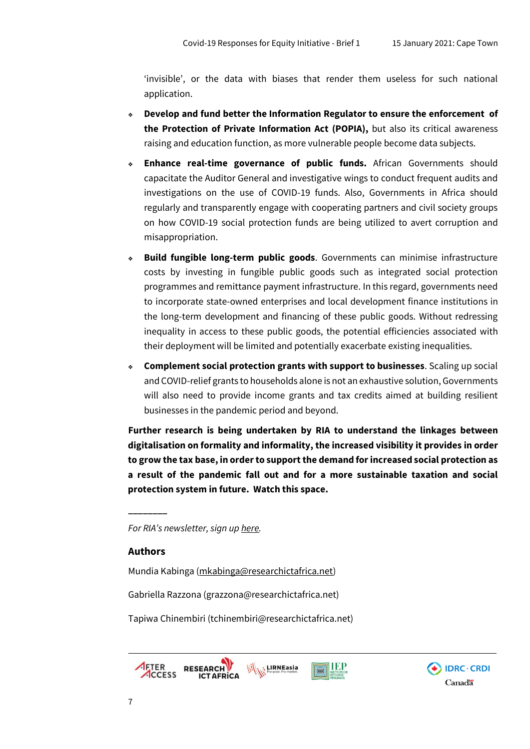'invisible', or the data with biases that render them useless for such national application.

- ❖ **Develop and fund better the Information Regulator to ensure the enforcement of the Protection of Private Information Act (POPIA),** but also its critical awareness raising and education function, as more vulnerable people become data subjects.
- ❖ **Enhance real-time governance of public funds.** African Governments should capacitate the Auditor General and investigative wings to conduct frequent audits and investigations on the use of COVID-19 funds. Also, Governments in Africa should regularly and transparently engage with cooperating partners and civil society groups on how COVID-19 social protection funds are being utilized to avert corruption and misappropriation.
- ❖ **Build fungible long-term public goods**. Governments can minimise infrastructure costs by investing in fungible public goods such as integrated social protection programmes and remittance payment infrastructure. In this regard, governments need to incorporate state-owned enterprises and local development finance institutions in the long-term development and financing of these public goods. Without redressing inequality in access to these public goods, the potential efficiencies associated with their deployment will be limited and potentially exacerbate existing inequalities.
- ❖ **Complement social protection grants with support to businesses**. Scaling up social and COVID-relief grants to households alone is not an exhaustive solution, Governments will also need to provide income grants and tax credits aimed at building resilient businesses in the pandemic period and beyond.

**Further research is being undertaken by RIA to understand the linkages between digitalisation on formality and informality, the increased visibility it provides in order to grow the tax base, in orderto supportthe demand forincreased social protection as a result of the pandemic fall out and for a more sustainable taxation and social protection system in future. Watch this space.** 

*For RIA's newsletter, sign up [here.](http://researchictafrica.us14.list-manage.com/subscribe?u=83319770db68fc240149bb74a&id=c7c9ffd5b4)*

#### **Authors**

**\_\_\_\_\_\_\_\_**

Mundia Kabinga [\(mkabinga@researchictafrica.net\)](mailto:mkabinga@researchictafrica.net)

Gabriella Razzona (grazzona@researchictafrica.net)

Tapiwa Chinembiri (tchinembiri@researchictafrica.net)



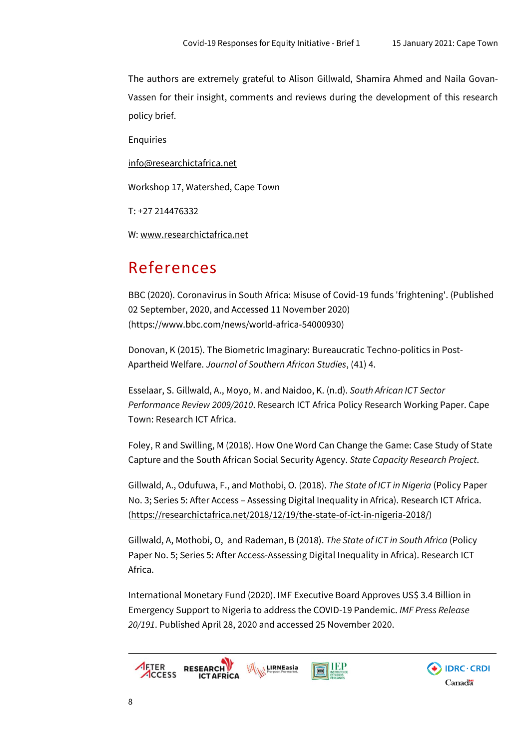The authors are extremely grateful to Alison Gillwald, Shamira Ahmed and Naila Govan-Vassen for their insight, comments and reviews during the development of this research policy brief.

Enquiries

[info@researchictafrica.net](mailto:info@researchictafrica.net)

Workshop 17, Watershed, Cape Town

T: +27 214476332

W: [www.researchictafrica.net](http://www.researchictafrica.net/)

# References

BBC (2020). Coronavirus in South Africa: Misuse of Covid-19 funds 'frightening'. (Published 02 September, 2020, and Accessed 11 November 2020) (https://www.bbc.com/news/world-africa-54000930)

Donovan, K (2015). The Biometric Imaginary: Bureaucratic Techno-politics in Post-Apartheid Welfare. *Journal of Southern African Studies*, (41) 4.

Esselaar, S. Gillwald, A., Moyo, M. and Naidoo, K. (n.d). *South African ICT Sector Performance Review 2009/2010*. Research ICT Africa Policy Research Working Paper. Cape Town: Research ICT Africa.

Foley, R and Swilling, M (2018). How One Word Can Change the Game: Case Study of State Capture and the South African Social Security Agency. *State Capacity Research Project*.

Gillwald, A., Odufuwa, F., and Mothobi, O. (2018). *The State of ICT in Nigeria* (Policy Paper No. 3; Series 5: After Access – Assessing Digital Inequality in Africa). Research ICT Africa. [\(https://researchictafrica.net/2018/12/19/the-state-of-ict-in-nigeria-2018/\)](https://researchictafrica.net/2018/12/19/the-state-of-ict-in-nigeria-2018/)

Gillwald, A, Mothobi, O, and Rademan, B (2018). *The State of ICT in South Africa* (Policy Paper No. 5; Series 5: After Access-Assessing Digital Inequality in Africa). Research ICT Africa.

International Monetary Fund (2020). IMF Executive Board Approves US\$ 3.4 Billion in Emergency Support to Nigeria to address the COVID-19 Pandemic. *IMF Press Release 20/191*. Published April 28, 2020 and accessed 25 November 2020.